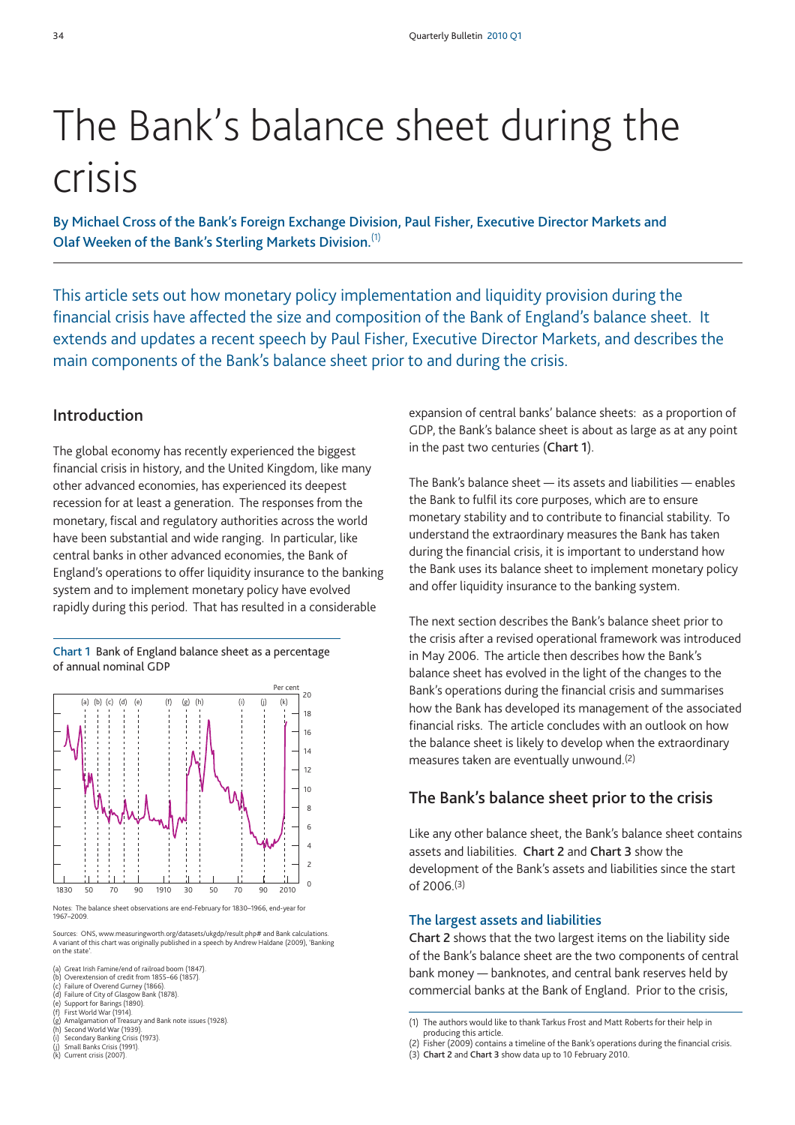# The Bank's balance sheet during the crisis

**By Michael Cross of the Bank's Foreign Exchange Division, Paul Fisher, Executive Director Markets and Olaf Weeken of the Bank's Sterling Markets Division.**(1)

This article sets out how monetary policy implementation and liquidity provision during the financial crisis have affected the size and composition of the Bank of England's balance sheet. It extends and updates a recent speech by Paul Fisher, Executive Director Markets, and describes the main components of the Bank's balance sheet prior to and during the crisis.

# **Introduction**

The global economy has recently experienced the biggest financial crisis in history, and the United Kingdom, like many other advanced economies, has experienced its deepest recession for at least a generation. The responses from the monetary, fiscal and regulatory authorities across the world have been substantial and wide ranging. In particular, like central banks in other advanced economies, the Bank of England's operations to offer liquidity insurance to the banking system and to implement monetary policy have evolved rapidly during this period. That has resulted in a considerable

**Chart 1** Bank of England balance sheet as a percentage of annual nominal GDP



Notes: The balance sheet observations are end-February for 1830–1966, end-year for 1967–2009.

Sources: ONS, www.measuringworth.org/datasets/ukgdp/result.php# and Bank calculations. A variant of this chart was originally published in a speech by Andrew Haldane (2009), 'Banking on the state'.

(a) Great Irish Famine/end of railroad boom (1847).<br>(b) Overextension of credit from 1855–66 (1857).

- (b) Overextension of credit from 1855–66 (1857)<br>(c) Failure of Overend Gurney (1866). (c) Failure of Overend Gurney (1866).
- (d) Failure of City of Glasgow Bank (1878). (e) Support for Barings (1890). (f) First World War (1914).
- 
- Amalgamation of Treasury and Bank note issues (1928).
- (h) Second World War (1939)<br>(i) Secondary Banking Crisis
- Secondary Banking Crisis (1973).
- (j) Small Banks Crisis (1991)<br>(k) Current crisis (2007). Current crisis (2007).

expansion of central banks' balance sheets: as a proportion of GDP, the Bank's balance sheet is about as large as at any point in the past two centuries (**Chart 1**).

The Bank's balance sheet — its assets and liabilities — enables the Bank to fulfil its core purposes, which are to ensure monetary stability and to contribute to financial stability. To understand the extraordinary measures the Bank has taken during the financial crisis, it is important to understand how the Bank uses its balance sheet to implement monetary policy and offer liquidity insurance to the banking system.

The next section describes the Bank's balance sheet prior to the crisis after a revised operational framework was introduced in May 2006. The article then describes how the Bank's balance sheet has evolved in the light of the changes to the Bank's operations during the financial crisis and summarises how the Bank has developed its management of the associated financial risks. The article concludes with an outlook on how the balance sheet is likely to develop when the extraordinary measures taken are eventually unwound.(2)

# **The Bank's balance sheet prior to the crisis**

Like any other balance sheet, the Bank's balance sheet contains assets and liabilities. **Chart 2** and **Chart 3** show the development of the Bank's assets and liabilities since the start of 2006.(3)

#### **The largest assets and liabilities**

**Chart 2** shows that the two largest items on the liability side of the Bank's balance sheet are the two components of central bank money — banknotes, and central bank reserves held by commercial banks at the Bank of England. Prior to the crisis,

(3) **Chart 2** and **Chart 3** show data up to 10 February 2010.

<sup>(1)</sup> The authors would like to thank Tarkus Frost and Matt Roberts for their help in producing this article.

<sup>(2)</sup> Fisher (2009) contains a timeline of the Bank's operations during the financial crisis.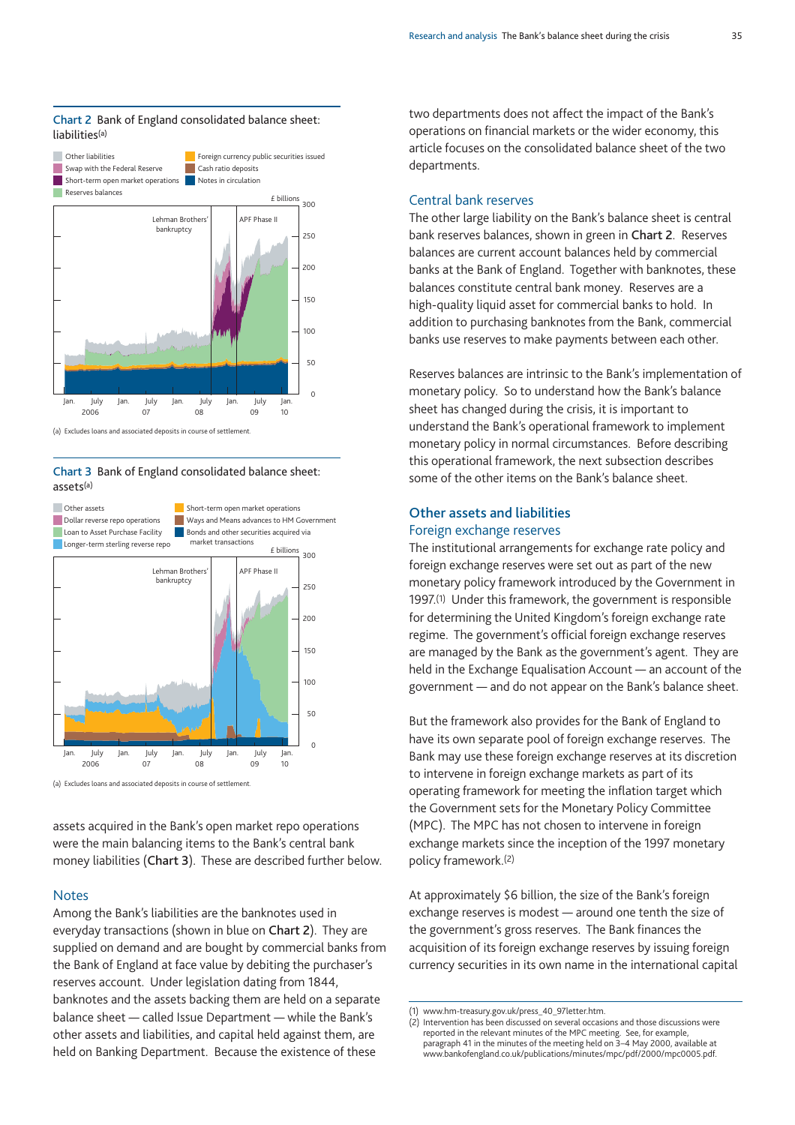#### **Chart 2** Bank of England consolidated balance sheet: liabilities(a)



(a) Excludes loans and associated deposits in course of settlement.

#### **Chart 3** Bank of England consolidated balance sheet: assets(a)



assets acquired in the Bank's open market repo operations were the main balancing items to the Bank's central bank money liabilities (**Chart 3**). These are described further below.

#### **Notes**

Among the Bank's liabilities are the banknotes used in everyday transactions (shown in blue on **Chart 2**). They are supplied on demand and are bought by commercial banks from the Bank of England at face value by debiting the purchaser's reserves account. Under legislation dating from 1844, banknotes and the assets backing them are held on a separate balance sheet — called Issue Department — while the Bank's other assets and liabilities, and capital held against them, are held on Banking Department. Because the existence of these

two departments does not affect the impact of the Bank's operations on financial markets or the wider economy, this article focuses on the consolidated balance sheet of the two departments.

#### Central bank reserves

The other large liability on the Bank's balance sheet is central bank reserves balances, shown in green in **Chart 2**. Reserves balances are current account balances held by commercial banks at the Bank of England. Together with banknotes, these balances constitute central bank money. Reserves are a high-quality liquid asset for commercial banks to hold. In addition to purchasing banknotes from the Bank, commercial banks use reserves to make payments between each other.

Reserves balances are intrinsic to the Bank's implementation of monetary policy. So to understand how the Bank's balance sheet has changed during the crisis, it is important to understand the Bank's operational framework to implement monetary policy in normal circumstances. Before describing this operational framework, the next subsection describes some of the other items on the Bank's balance sheet.

## **Other assets and liabilities** Foreign exchange reserves

The institutional arrangements for exchange rate policy and foreign exchange reserves were set out as part of the new monetary policy framework introduced by the Government in 1997.(1) Under this framework, the government is responsible for determining the United Kingdom's foreign exchange rate regime. The government's official foreign exchange reserves are managed by the Bank as the government's agent. They are held in the Exchange Equalisation Account — an account of the government — and do not appear on the Bank's balance sheet.

But the framework also provides for the Bank of England to have its own separate pool of foreign exchange reserves. The Bank may use these foreign exchange reserves at its discretion to intervene in foreign exchange markets as part of its operating framework for meeting the inflation target which the Government sets for the Monetary Policy Committee (MPC). The MPC has not chosen to intervene in foreign exchange markets since the inception of the 1997 monetary policy framework.(2)

At approximately \$6 billion, the size of the Bank's foreign exchange reserves is modest — around one tenth the size of the government's gross reserves. The Bank finances the acquisition of its foreign exchange reserves by issuing foreign currency securities in its own name in the international capital

<sup>(1)</sup> www.hm-treasury.gov.uk/press\_40\_97letter.htm.

<sup>(2)</sup> Intervention has been discussed on several occasions and those discussions were reported in the relevant minutes of the MPC meeting. See, for example, paragraph 41 in the minutes of the meeting held on 3–4 May 2000, available at www.bankofengland.co.uk/publications/minutes/mpc/pdf/2000/mpc0005.pdf.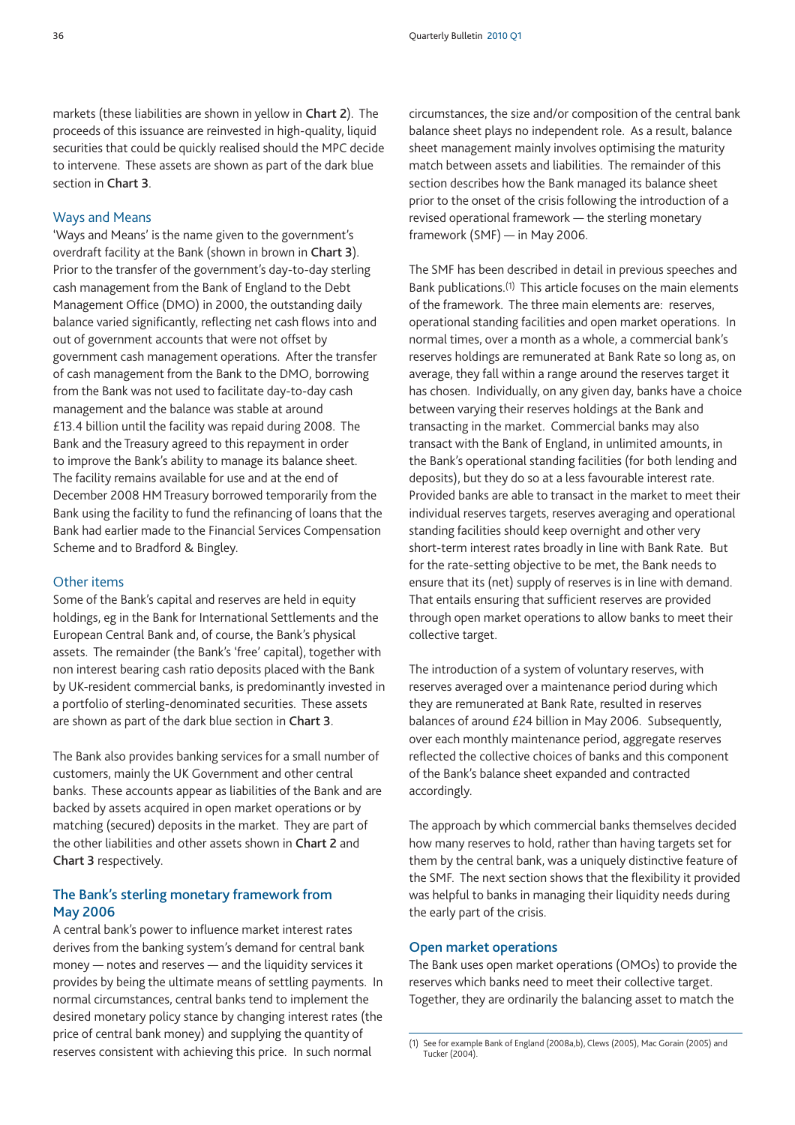markets (these liabilities are shown in yellow in **Chart 2**). The proceeds of this issuance are reinvested in high-quality, liquid securities that could be quickly realised should the MPC decide to intervene. These assets are shown as part of the dark blue section in **Chart 3**.

#### Ways and Means

'Ways and Means' is the name given to the government's overdraft facility at the Bank (shown in brown in **Chart 3**). Prior to the transfer of the government's day-to-day sterling cash management from the Bank of England to the Debt Management Office (DMO) in 2000, the outstanding daily balance varied significantly, reflecting net cash flows into and out of government accounts that were not offset by government cash management operations. After the transfer of cash management from the Bank to the DMO, borrowing from the Bank was not used to facilitate day-to-day cash management and the balance was stable at around £13.4 billion until the facility was repaid during 2008. The Bank and the Treasury agreed to this repayment in order to improve the Bank's ability to manage its balance sheet. The facility remains available for use and at the end of December 2008 HM Treasury borrowed temporarily from the Bank using the facility to fund the refinancing of loans that the Bank had earlier made to the Financial Services Compensation Scheme and to Bradford & Bingley.

#### Other items

Some of the Bank's capital and reserves are held in equity holdings, eg in the Bank for International Settlements and the European Central Bank and, of course, the Bank's physical assets. The remainder (the Bank's 'free' capital), together with non interest bearing cash ratio deposits placed with the Bank by UK-resident commercial banks, is predominantly invested in a portfolio of sterling-denominated securities. These assets are shown as part of the dark blue section in **Chart 3**.

The Bank also provides banking services for a small number of customers, mainly the UK Government and other central banks. These accounts appear as liabilities of the Bank and are backed by assets acquired in open market operations or by matching (secured) deposits in the market. They are part of the other liabilities and other assets shown in **Chart 2** and **Chart 3** respectively.

## **The Bank's sterling monetary framework from May 2006**

A central bank's power to influence market interest rates derives from the banking system's demand for central bank money — notes and reserves — and the liquidity services it provides by being the ultimate means of settling payments. In normal circumstances, central banks tend to implement the desired monetary policy stance by changing interest rates (the price of central bank money) and supplying the quantity of reserves consistent with achieving this price. In such normal

circumstances, the size and/or composition of the central bank balance sheet plays no independent role. As a result, balance sheet management mainly involves optimising the maturity match between assets and liabilities. The remainder of this section describes how the Bank managed its balance sheet prior to the onset of the crisis following the introduction of a revised operational framework — the sterling monetary framework (SMF) — in May 2006.

The SMF has been described in detail in previous speeches and Bank publications.(1) This article focuses on the main elements of the framework. The three main elements are: reserves, operational standing facilities and open market operations. In normal times, over a month as a whole, a commercial bank's reserves holdings are remunerated at Bank Rate so long as, on average, they fall within a range around the reserves target it has chosen. Individually, on any given day, banks have a choice between varying their reserves holdings at the Bank and transacting in the market. Commercial banks may also transact with the Bank of England, in unlimited amounts, in the Bank's operational standing facilities (for both lending and deposits), but they do so at a less favourable interest rate. Provided banks are able to transact in the market to meet their individual reserves targets, reserves averaging and operational standing facilities should keep overnight and other very short-term interest rates broadly in line with Bank Rate. But for the rate-setting objective to be met, the Bank needs to ensure that its (net) supply of reserves is in line with demand. That entails ensuring that sufficient reserves are provided through open market operations to allow banks to meet their collective target.

The introduction of a system of voluntary reserves, with reserves averaged over a maintenance period during which they are remunerated at Bank Rate, resulted in reserves balances of around £24 billion in May 2006. Subsequently, over each monthly maintenance period, aggregate reserves reflected the collective choices of banks and this component of the Bank's balance sheet expanded and contracted accordingly.

The approach by which commercial banks themselves decided how many reserves to hold, rather than having targets set for them by the central bank, was a uniquely distinctive feature of the SMF. The next section shows that the flexibility it provided was helpful to banks in managing their liquidity needs during the early part of the crisis.

#### **Open market operations**

The Bank uses open market operations (OMOs) to provide the reserves which banks need to meet their collective target. Together, they are ordinarily the balancing asset to match the

<sup>(1)</sup> See for example Bank of England (2008a,b), Clews (2005), Mac Gorain (2005) and Tucker (2004).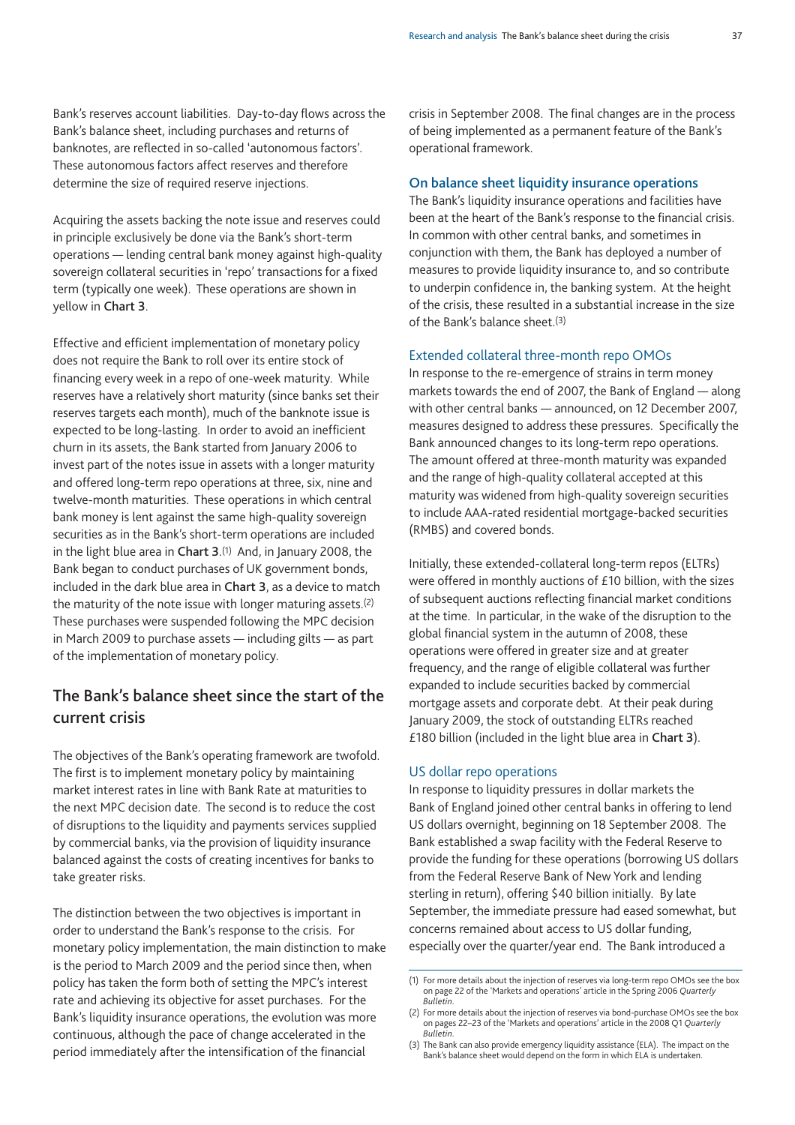Bank's reserves account liabilities. Day-to-day flows across the Bank's balance sheet, including purchases and returns of banknotes, are reflected in so-called 'autonomous factors'. These autonomous factors affect reserves and therefore determine the size of required reserve injections.

Acquiring the assets backing the note issue and reserves could in principle exclusively be done via the Bank's short-term operations — lending central bank money against high-quality sovereign collateral securities in 'repo' transactions for a fixed term (typically one week). These operations are shown in yellow in **Chart 3**.

Effective and efficient implementation of monetary policy does not require the Bank to roll over its entire stock of financing every week in a repo of one-week maturity. While reserves have a relatively short maturity (since banks set their reserves targets each month), much of the banknote issue is expected to be long-lasting. In order to avoid an inefficient churn in its assets, the Bank started from January 2006 to invest part of the notes issue in assets with a longer maturity and offered long-term repo operations at three, six, nine and twelve-month maturities. These operations in which central bank money is lent against the same high-quality sovereign securities as in the Bank's short-term operations are included in the light blue area in **Chart 3**.(1) And, in January 2008, the Bank began to conduct purchases of UK government bonds, included in the dark blue area in **Chart 3**, as a device to match the maturity of the note issue with longer maturing assets.(2) These purchases were suspended following the MPC decision in March 2009 to purchase assets — including gilts — as part of the implementation of monetary policy.

# **The Bank's balance sheet since the start of the current crisis**

The objectives of the Bank's operating framework are twofold. The first is to implement monetary policy by maintaining market interest rates in line with Bank Rate at maturities to the next MPC decision date. The second is to reduce the cost of disruptions to the liquidity and payments services supplied by commercial banks, via the provision of liquidity insurance balanced against the costs of creating incentives for banks to take greater risks.

The distinction between the two objectives is important in order to understand the Bank's response to the crisis. For monetary policy implementation, the main distinction to make is the period to March 2009 and the period since then, when policy has taken the form both of setting the MPC's interest rate and achieving its objective for asset purchases. For the Bank's liquidity insurance operations, the evolution was more continuous, although the pace of change accelerated in the period immediately after the intensification of the financial

crisis in September 2008. The final changes are in the process of being implemented as a permanent feature of the Bank's operational framework.

#### **On balance sheet liquidity insurance operations**

The Bank's liquidity insurance operations and facilities have been at the heart of the Bank's response to the financial crisis. In common with other central banks, and sometimes in conjunction with them, the Bank has deployed a number of measures to provide liquidity insurance to, and so contribute to underpin confidence in, the banking system. At the height of the crisis, these resulted in a substantial increase in the size of the Bank's balance sheet.(3)

#### Extended collateral three-month repo OMOs

In response to the re-emergence of strains in term money markets towards the end of 2007, the Bank of England — along with other central banks — announced, on 12 December 2007, measures designed to address these pressures. Specifically the Bank announced changes to its long-term repo operations. The amount offered at three-month maturity was expanded and the range of high-quality collateral accepted at this maturity was widened from high-quality sovereign securities to include AAA-rated residential mortgage-backed securities (RMBS) and covered bonds.

Initially, these extended-collateral long-term repos (ELTRs) were offered in monthly auctions of £10 billion, with the sizes of subsequent auctions reflecting financial market conditions at the time. In particular, in the wake of the disruption to the global financial system in the autumn of 2008, these operations were offered in greater size and at greater frequency, and the range of eligible collateral was further expanded to include securities backed by commercial mortgage assets and corporate debt. At their peak during January 2009, the stock of outstanding ELTRs reached £180 billion (included in the light blue area in **Chart 3**).

#### US dollar repo operations

In response to liquidity pressures in dollar markets the Bank of England joined other central banks in offering to lend US dollars overnight, beginning on 18 September 2008. The Bank established a swap facility with the Federal Reserve to provide the funding for these operations (borrowing US dollars from the Federal Reserve Bank of New York and lending sterling in return), offering \$40 billion initially. By late September, the immediate pressure had eased somewhat, but concerns remained about access to US dollar funding, especially over the quarter/year end. The Bank introduced a

<sup>(1)</sup> For more details about the injection of reserves via long-term repo OMOs see the box on page 22 of the 'Markets and operations' article in the Spring 2006 *Quarterly Bulletin*.

<sup>(2)</sup> For more details about the injection of reserves via bond-purchase OMOs see the box on pages 22–23 of the 'Markets and operations' article in the 2008 Q1 *Quarterly Bulletin*.

<sup>(3)</sup> The Bank can also provide emergency liquidity assistance (ELA). The impact on the Bank's balance sheet would depend on the form in which ELA is undertaken.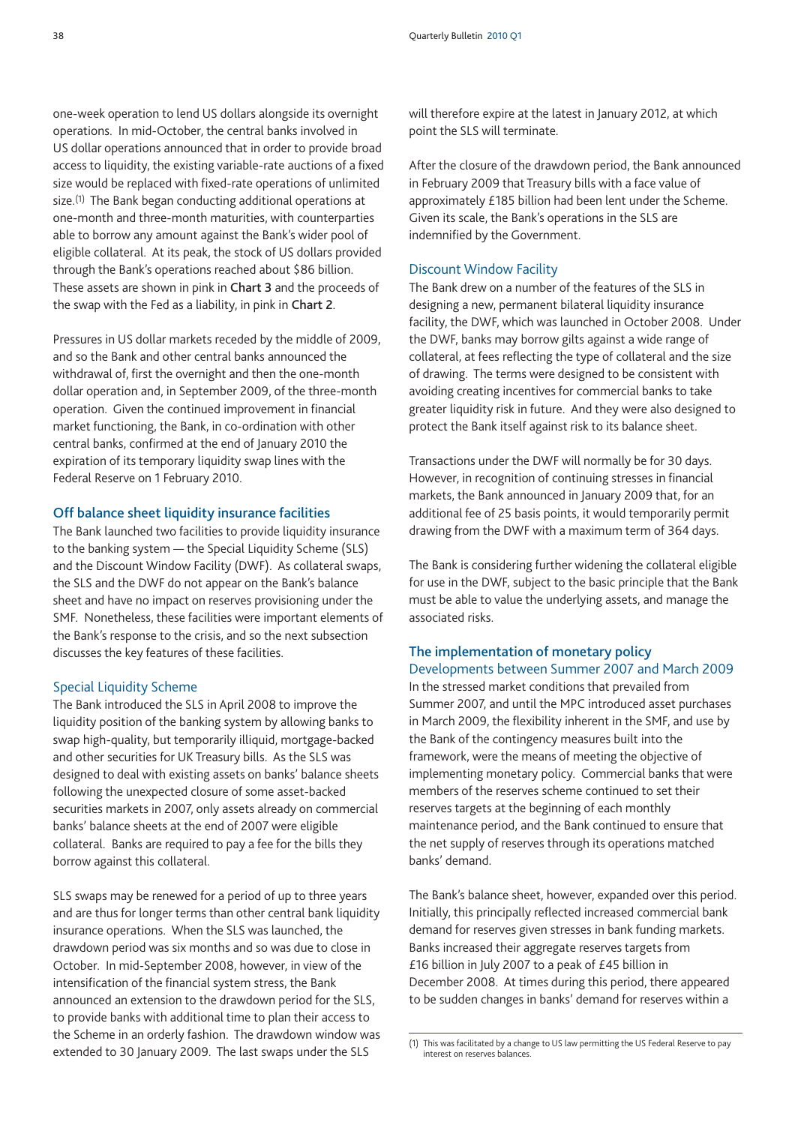one-week operation to lend US dollars alongside its overnight operations. In mid-October, the central banks involved in US dollar operations announced that in order to provide broad access to liquidity, the existing variable-rate auctions of a fixed size would be replaced with fixed-rate operations of unlimited size.(1) The Bank began conducting additional operations at one-month and three-month maturities, with counterparties able to borrow any amount against the Bank's wider pool of eligible collateral. At its peak, the stock of US dollars provided through the Bank's operations reached about \$86 billion. These assets are shown in pink in **Chart 3** and the proceeds of the swap with the Fed as a liability, in pink in **Chart 2**.

Pressures in US dollar markets receded by the middle of 2009, and so the Bank and other central banks announced the withdrawal of, first the overnight and then the one-month dollar operation and, in September 2009, of the three-month operation. Given the continued improvement in financial market functioning, the Bank, in co-ordination with other central banks, confirmed at the end of January 2010 the expiration of its temporary liquidity swap lines with the Federal Reserve on 1 February 2010.

#### **Off balance sheet liquidity insurance facilities**

The Bank launched two facilities to provide liquidity insurance to the banking system — the Special Liquidity Scheme (SLS) and the Discount Window Facility (DWF). As collateral swaps, the SLS and the DWF do not appear on the Bank's balance sheet and have no impact on reserves provisioning under the SMF. Nonetheless, these facilities were important elements of the Bank's response to the crisis, and so the next subsection discusses the key features of these facilities.

#### Special Liquidity Scheme

The Bank introduced the SLS in April 2008 to improve the liquidity position of the banking system by allowing banks to swap high-quality, but temporarily illiquid, mortgage-backed and other securities for UK Treasury bills. As the SLS was designed to deal with existing assets on banks' balance sheets following the unexpected closure of some asset-backed securities markets in 2007, only assets already on commercial banks' balance sheets at the end of 2007 were eligible collateral. Banks are required to pay a fee for the bills they borrow against this collateral.

SLS swaps may be renewed for a period of up to three years and are thus for longer terms than other central bank liquidity insurance operations. When the SLS was launched, the drawdown period was six months and so was due to close in October. In mid-September 2008, however, in view of the intensification of the financial system stress, the Bank announced an extension to the drawdown period for the SLS, to provide banks with additional time to plan their access to the Scheme in an orderly fashion. The drawdown window was extended to 30 January 2009. The last swaps under the SLS

will therefore expire at the latest in January 2012, at which point the SLS will terminate.

After the closure of the drawdown period, the Bank announced in February 2009 that Treasury bills with a face value of approximately £185 billion had been lent under the Scheme. Given its scale, the Bank's operations in the SLS are indemnified by the Government.

#### Discount Window Facility

The Bank drew on a number of the features of the SLS in designing a new, permanent bilateral liquidity insurance facility, the DWF, which was launched in October 2008. Under the DWF, banks may borrow gilts against a wide range of collateral, at fees reflecting the type of collateral and the size of drawing. The terms were designed to be consistent with avoiding creating incentives for commercial banks to take greater liquidity risk in future. And they were also designed to protect the Bank itself against risk to its balance sheet.

Transactions under the DWF will normally be for 30 days. However, in recognition of continuing stresses in financial markets, the Bank announced in January 2009 that, for an additional fee of 25 basis points, it would temporarily permit drawing from the DWF with a maximum term of 364 days.

The Bank is considering further widening the collateral eligible for use in the DWF, subject to the basic principle that the Bank must be able to value the underlying assets, and manage the associated risks.

#### **The implementation of monetary policy**

Developments between Summer 2007 and March 2009 In the stressed market conditions that prevailed from Summer 2007, and until the MPC introduced asset purchases in March 2009, the flexibility inherent in the SMF, and use by the Bank of the contingency measures built into the framework, were the means of meeting the objective of implementing monetary policy. Commercial banks that were members of the reserves scheme continued to set their reserves targets at the beginning of each monthly maintenance period, and the Bank continued to ensure that the net supply of reserves through its operations matched banks' demand.

The Bank's balance sheet, however, expanded over this period. Initially, this principally reflected increased commercial bank demand for reserves given stresses in bank funding markets. Banks increased their aggregate reserves targets from £16 billion in July 2007 to a peak of £45 billion in December 2008. At times during this period, there appeared to be sudden changes in banks' demand for reserves within a

<sup>(1)</sup> This was facilitated by a change to US law permitting the US Federal Reserve to pay interest on reserves balances.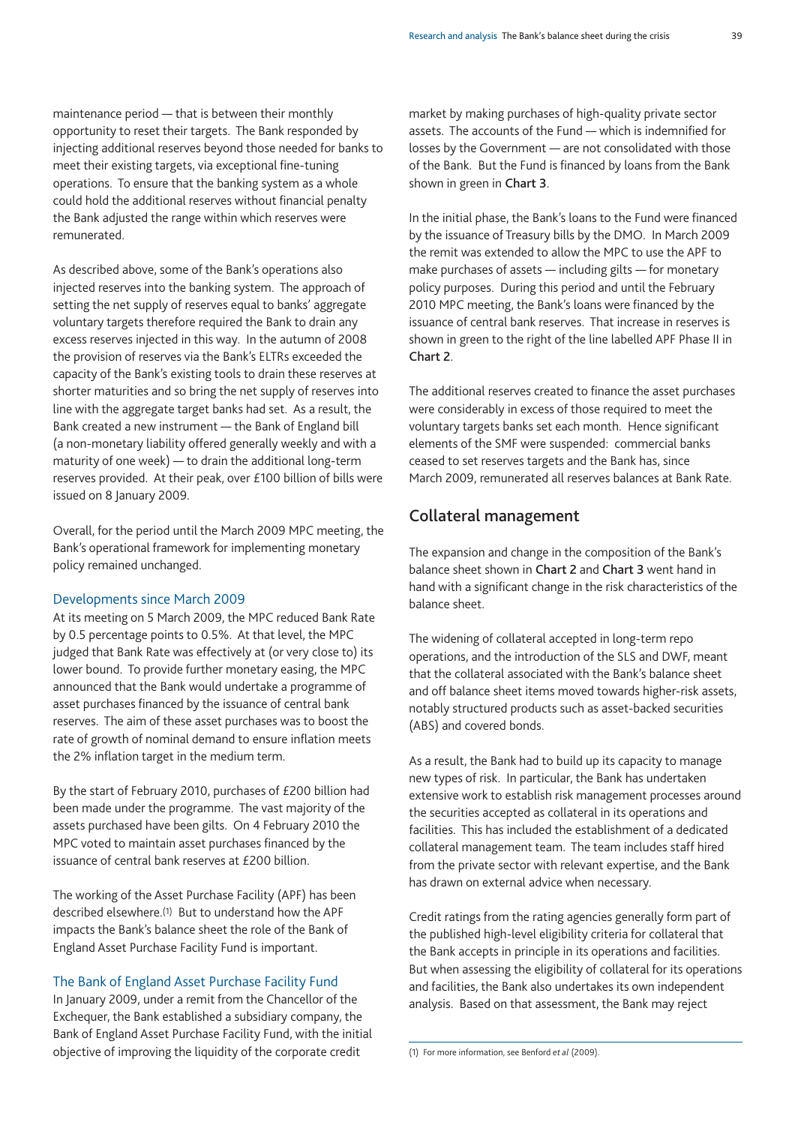maintenance period — that is between their monthly opportunity to reset their targets. The Bank responded by injecting additional reserves beyond those needed for banks to meet their existing targets, via exceptional fine-tuning operations. To ensure that the banking system as a whole could hold the additional reserves without financial penalty the Bank adjusted the range within which reserves were remunerated.

As described above, some of the Bank's operations also injected reserves into the banking system. The approach of setting the net supply of reserves equal to banks' aggregate voluntary targets therefore required the Bank to drain any excess reserves injected in this way. In the autumn of 2008 the provision of reserves via the Bank's ELTRs exceeded the capacity of the Bank's existing tools to drain these reserves at shorter maturities and so bring the net supply of reserves into line with the aggregate target banks had set. As a result, the Bank created a new instrument — the Bank of England bill (a non-monetary liability offered generally weekly and with a maturity of one week) — to drain the additional long-term reserves provided. At their peak, over £100 billion of bills were issued on 8 January 2009.

Overall, for the period until the March 2009 MPC meeting, the Bank's operational framework for implementing monetary policy remained unchanged.

#### Developments since March 2009

At its meeting on 5 March 2009, the MPC reduced Bank Rate by 0.5 percentage points to 0.5%. At that level, the MPC judged that Bank Rate was effectively at (or very close to) its lower bound. To provide further monetary easing, the MPC announced that the Bank would undertake a programme of asset purchases financed by the issuance of central bank reserves. The aim of these asset purchases was to boost the rate of growth of nominal demand to ensure inflation meets the 2% inflation target in the medium term.

By the start of February 2010, purchases of £200 billion had been made under the programme. The vast majority of the assets purchased have been gilts. On 4 February 2010 the MPC voted to maintain asset purchases financed by the issuance of central bank reserves at £200 billion.

The working of the Asset Purchase Facility (APF) has been described elsewhere.(1) But to understand how the APF impacts the Bank's balance sheet the role of the Bank of England Asset Purchase Facility Fund is important.

#### The Bank of England Asset Purchase Facility Fund

In January 2009, under a remit from the Chancellor of the Exchequer, the Bank established a subsidiary company, the Bank of England Asset Purchase Facility Fund, with the initial objective of improving the liquidity of the corporate credit

market by making purchases of high-quality private sector assets. The accounts of the Fund — which is indemnified for losses by the Government — are not consolidated with those of the Bank. But the Fund is financed by loans from the Bank shown in green in **Chart 3**.

In the initial phase, the Bank's loans to the Fund were financed by the issuance of Treasury bills by the DMO. In March 2009 the remit was extended to allow the MPC to use the APF to make purchases of assets — including gilts — for monetary policy purposes. During this period and until the February 2010 MPC meeting, the Bank's loans were financed by the issuance of central bank reserves. That increase in reserves is shown in green to the right of the line labelled APF Phase II in **Chart 2**.

The additional reserves created to finance the asset purchases were considerably in excess of those required to meet the voluntary targets banks set each month. Hence significant elements of the SMF were suspended: commercial banks ceased to set reserves targets and the Bank has, since March 2009, remunerated all reserves balances at Bank Rate.

## **Collateral management**

The expansion and change in the composition of the Bank's balance sheet shown in **Chart 2** and **Chart 3** went hand in hand with a significant change in the risk characteristics of the balance sheet.

The widening of collateral accepted in long-term repo operations, and the introduction of the SLS and DWF, meant that the collateral associated with the Bank's balance sheet and off balance sheet items moved towards higher-risk assets, notably structured products such as asset-backed securities (ABS) and covered bonds.

As a result, the Bank had to build up its capacity to manage new types of risk. In particular, the Bank has undertaken extensive work to establish risk management processes around the securities accepted as collateral in its operations and facilities. This has included the establishment of a dedicated collateral management team. The team includes staff hired from the private sector with relevant expertise, and the Bank has drawn on external advice when necessary.

Credit ratings from the rating agencies generally form part of the published high-level eligibility criteria for collateral that the Bank accepts in principle in its operations and facilities. But when assessing the eligibility of collateral for its operations and facilities, the Bank also undertakes its own independent analysis. Based on that assessment, the Bank may reject

(1) For more information, see Benford *et al* (2009).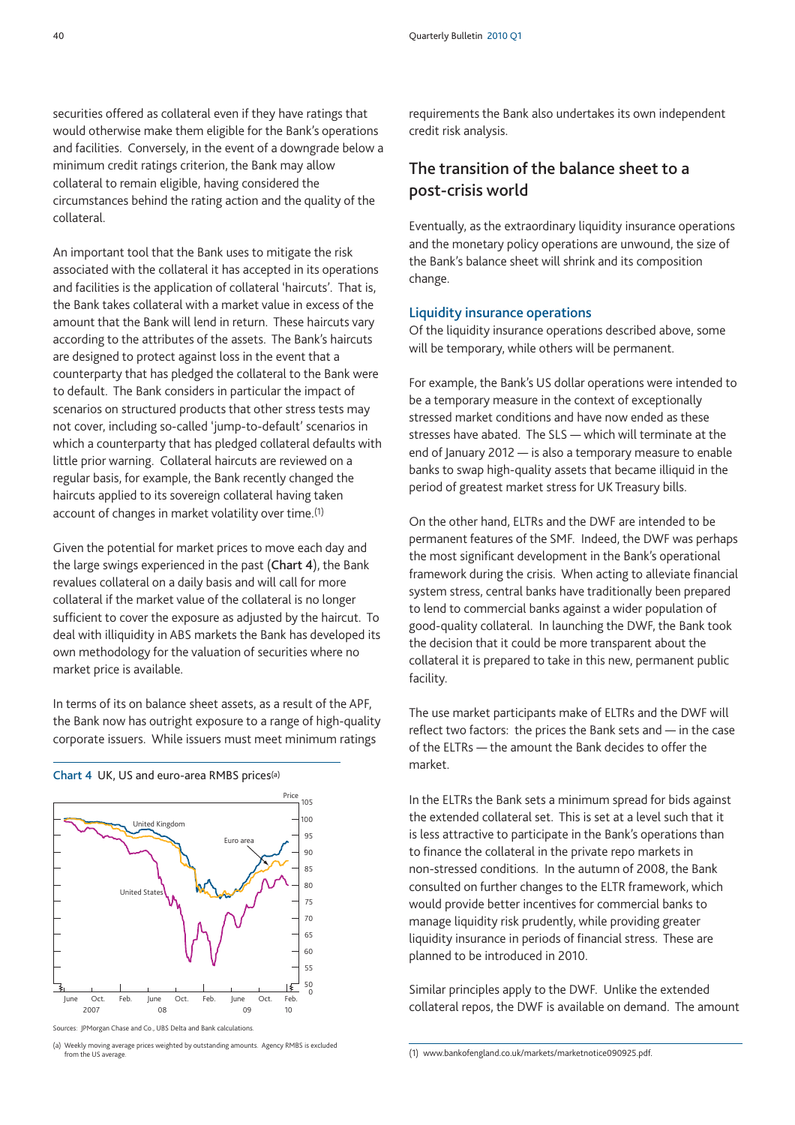securities offered as collateral even if they have ratings that would otherwise make them eligible for the Bank's operations and facilities. Conversely, in the event of a downgrade below a minimum credit ratings criterion, the Bank may allow collateral to remain eligible, having considered the circumstances behind the rating action and the quality of the collateral.

An important tool that the Bank uses to mitigate the risk associated with the collateral it has accepted in its operations and facilities is the application of collateral 'haircuts'. That is, the Bank takes collateral with a market value in excess of the amount that the Bank will lend in return. These haircuts vary according to the attributes of the assets. The Bank's haircuts are designed to protect against loss in the event that a counterparty that has pledged the collateral to the Bank were to default. The Bank considers in particular the impact of scenarios on structured products that other stress tests may not cover, including so-called 'jump-to-default' scenarios in which a counterparty that has pledged collateral defaults with little prior warning. Collateral haircuts are reviewed on a regular basis, for example, the Bank recently changed the haircuts applied to its sovereign collateral having taken account of changes in market volatility over time.(1)

Given the potential for market prices to move each day and the large swings experienced in the past (**Chart 4**), the Bank revalues collateral on a daily basis and will call for more collateral if the market value of the collateral is no longer sufficient to cover the exposure as adjusted by the haircut. To deal with illiquidity in ABS markets the Bank has developed its own methodology for the valuation of securities where no market price is available.

In terms of its on balance sheet assets, as a result of the APF, the Bank now has outright exposure to a range of high-quality corporate issuers. While issuers must meet minimum ratings



**Chart 4** UK, US and euro-area RMBS prices(a)

requirements the Bank also undertakes its own independent credit risk analysis.

# **The transition of the balance sheet to a post-crisis world**

Eventually, as the extraordinary liquidity insurance operations and the monetary policy operations are unwound, the size of the Bank's balance sheet will shrink and its composition change.

#### **Liquidity insurance operations**

Of the liquidity insurance operations described above, some will be temporary, while others will be permanent.

For example, the Bank's US dollar operations were intended to be a temporary measure in the context of exceptionally stressed market conditions and have now ended as these stresses have abated. The SLS — which will terminate at the end of January 2012 — is also a temporary measure to enable banks to swap high-quality assets that became illiquid in the period of greatest market stress for UK Treasury bills.

On the other hand, ELTRs and the DWF are intended to be permanent features of the SMF. Indeed, the DWF was perhaps the most significant development in the Bank's operational framework during the crisis. When acting to alleviate financial system stress, central banks have traditionally been prepared to lend to commercial banks against a wider population of good-quality collateral. In launching the DWF, the Bank took the decision that it could be more transparent about the collateral it is prepared to take in this new, permanent public facility.

The use market participants make of ELTRs and the DWF will reflect two factors: the prices the Bank sets and — in the case of the ELTRs — the amount the Bank decides to offer the market.

In the ELTRs the Bank sets a minimum spread for bids against the extended collateral set. This is set at a level such that it is less attractive to participate in the Bank's operations than to finance the collateral in the private repo markets in non-stressed conditions. In the autumn of 2008, the Bank consulted on further changes to the ELTR framework, which would provide better incentives for commercial banks to manage liquidity risk prudently, while providing greater liquidity insurance in periods of financial stress. These are planned to be introduced in 2010.

Similar principles apply to the DWF. Unlike the extended collateral repos, the DWF is available on demand. The amount

Sources: JPMorgan Chase and Co., UBS Delta and Bank calculations.

<sup>(</sup>a) Weekly moving average prices weighted by outstanding amounts. Agency RMBS is excluded from the US average.

<sup>(1)</sup> www.bankofengland.co.uk/markets/marketnotice090925.pdf.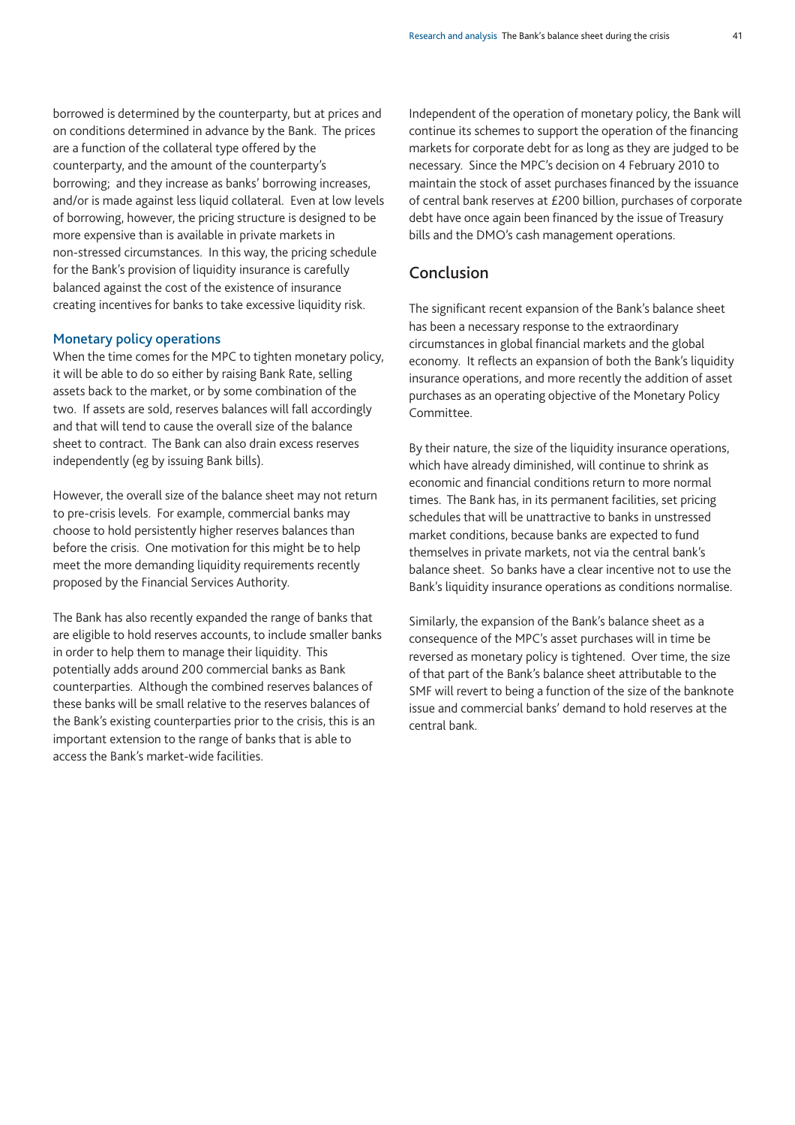borrowed is determined by the counterparty, but at prices and on conditions determined in advance by the Bank. The prices are a function of the collateral type offered by the counterparty, and the amount of the counterparty's borrowing; and they increase as banks' borrowing increases, and/or is made against less liquid collateral. Even at low levels of borrowing, however, the pricing structure is designed to be more expensive than is available in private markets in non-stressed circumstances. In this way, the pricing schedule for the Bank's provision of liquidity insurance is carefully balanced against the cost of the existence of insurance creating incentives for banks to take excessive liquidity risk.

#### **Monetary policy operations**

When the time comes for the MPC to tighten monetary policy, it will be able to do so either by raising Bank Rate, selling assets back to the market, or by some combination of the two. If assets are sold, reserves balances will fall accordingly and that will tend to cause the overall size of the balance sheet to contract. The Bank can also drain excess reserves independently (eg by issuing Bank bills).

However, the overall size of the balance sheet may not return to pre-crisis levels. For example, commercial banks may choose to hold persistently higher reserves balances than before the crisis. One motivation for this might be to help meet the more demanding liquidity requirements recently proposed by the Financial Services Authority.

The Bank has also recently expanded the range of banks that are eligible to hold reserves accounts, to include smaller banks in order to help them to manage their liquidity. This potentially adds around 200 commercial banks as Bank counterparties. Although the combined reserves balances of these banks will be small relative to the reserves balances of the Bank's existing counterparties prior to the crisis, this is an important extension to the range of banks that is able to access the Bank's market-wide facilities.

Independent of the operation of monetary policy, the Bank will continue its schemes to support the operation of the financing markets for corporate debt for as long as they are judged to be necessary. Since the MPC's decision on 4 February 2010 to maintain the stock of asset purchases financed by the issuance of central bank reserves at £200 billion, purchases of corporate debt have once again been financed by the issue of Treasury bills and the DMO's cash management operations.

# **Conclusion**

The significant recent expansion of the Bank's balance sheet has been a necessary response to the extraordinary circumstances in global financial markets and the global economy. It reflects an expansion of both the Bank's liquidity insurance operations, and more recently the addition of asset purchases as an operating objective of the Monetary Policy Committee.

By their nature, the size of the liquidity insurance operations, which have already diminished, will continue to shrink as economic and financial conditions return to more normal times. The Bank has, in its permanent facilities, set pricing schedules that will be unattractive to banks in unstressed market conditions, because banks are expected to fund themselves in private markets, not via the central bank's balance sheet. So banks have a clear incentive not to use the Bank's liquidity insurance operations as conditions normalise.

Similarly, the expansion of the Bank's balance sheet as a consequence of the MPC's asset purchases will in time be reversed as monetary policy is tightened. Over time, the size of that part of the Bank's balance sheet attributable to the SMF will revert to being a function of the size of the banknote issue and commercial banks' demand to hold reserves at the central bank.